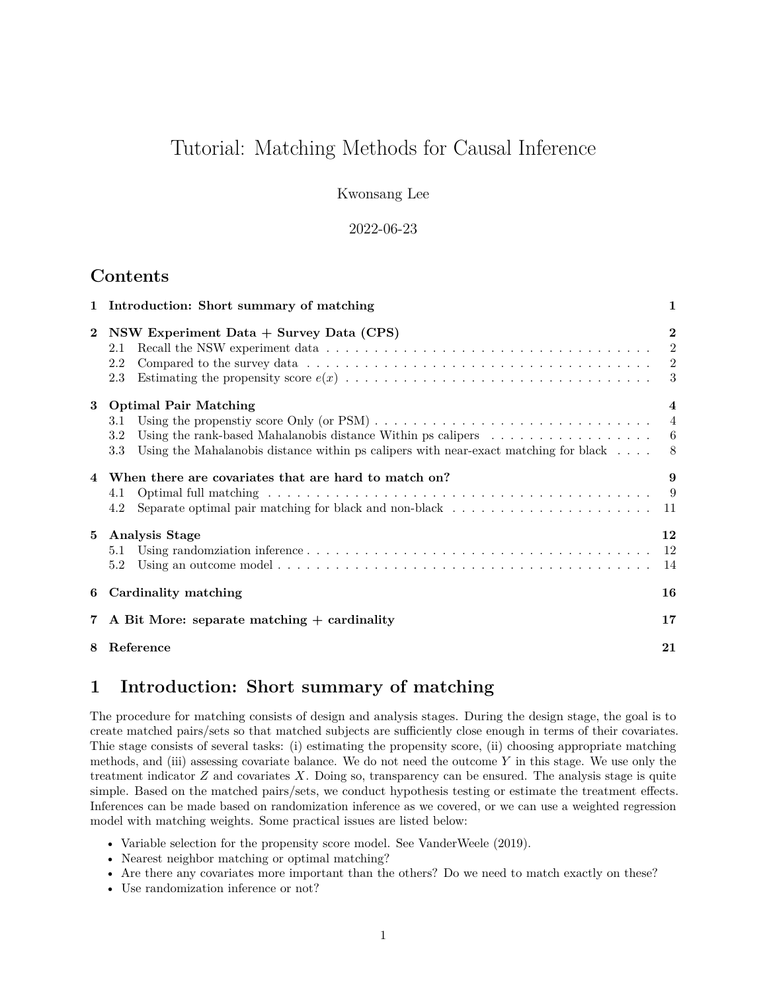# Tutorial: Matching Methods for Causal Inference

Kwonsang Lee

#### 2022-06-23

## **Contents**

|                | 1 Introduction: Short summary of matching                                                                                                                                                                                                            | 1                                                  |
|----------------|------------------------------------------------------------------------------------------------------------------------------------------------------------------------------------------------------------------------------------------------------|----------------------------------------------------|
| $\overline{2}$ | NSW Experiment Data + Survey Data (CPS)<br>2.1<br>2.2<br>2.3                                                                                                                                                                                         | $\overline{2}$<br>$\overline{\phantom{a}2}$<br>- 3 |
|                | 3 Optimal Pair Matching<br>3.1<br>Using the rank-based Mahalanobis distance Within ps calipers $\dots \dots \dots \dots \dots \dots$<br>3.2<br>Using the Mahalanobis distance within ps calipers with near-exact matching for black $\dots$ .<br>3.3 | $\overline{\mathbf{4}}$<br>- 8                     |
| 4              | When there are covariates that are hard to match on?<br>4.1<br>Separate optimal pair matching for black and non-black $\ldots \ldots \ldots \ldots \ldots \ldots \ldots \ldots$<br>4.2                                                               | 9                                                  |
| $5^{\circ}$    | <b>Analysis Stage</b><br>5.1<br>5.2                                                                                                                                                                                                                  | 12<br>- 12<br>-14                                  |
| 6              | Cardinality matching                                                                                                                                                                                                                                 | 16                                                 |
| $7^{\circ}$    | A Bit More: separate matching $+$ cardinality                                                                                                                                                                                                        | 17                                                 |
| 8              | Reference                                                                                                                                                                                                                                            | 21                                                 |

## <span id="page-0-0"></span>**1 Introduction: Short summary of matching**

The procedure for matching consists of design and analysis stages. During the design stage, the goal is to create matched pairs/sets so that matched subjects are sufficiently close enough in terms of their covariates. Thie stage consists of several tasks: (i) estimating the propensity score, (ii) choosing appropriate matching methods, and (iii) assessing covariate balance. We do not need the outcome *Y* in this stage. We use only the treatment indicator *Z* and covariates *X*. Doing so, transparency can be ensured. The analysis stage is quite simple. Based on the matched pairs/sets, we conduct hypothesis testing or estimate the treatment effects. Inferences can be made based on randomization inference as we covered, or we can use a weighted regression model with matching weights. Some practical issues are listed below:

- Variable selection for the propensity score model. See VanderWeele (2019).
- Nearest neighbor matching or optimal matching?
- Are there any covariates more important than the others? Do we need to match exactly on these?
- Use randomization inference or not?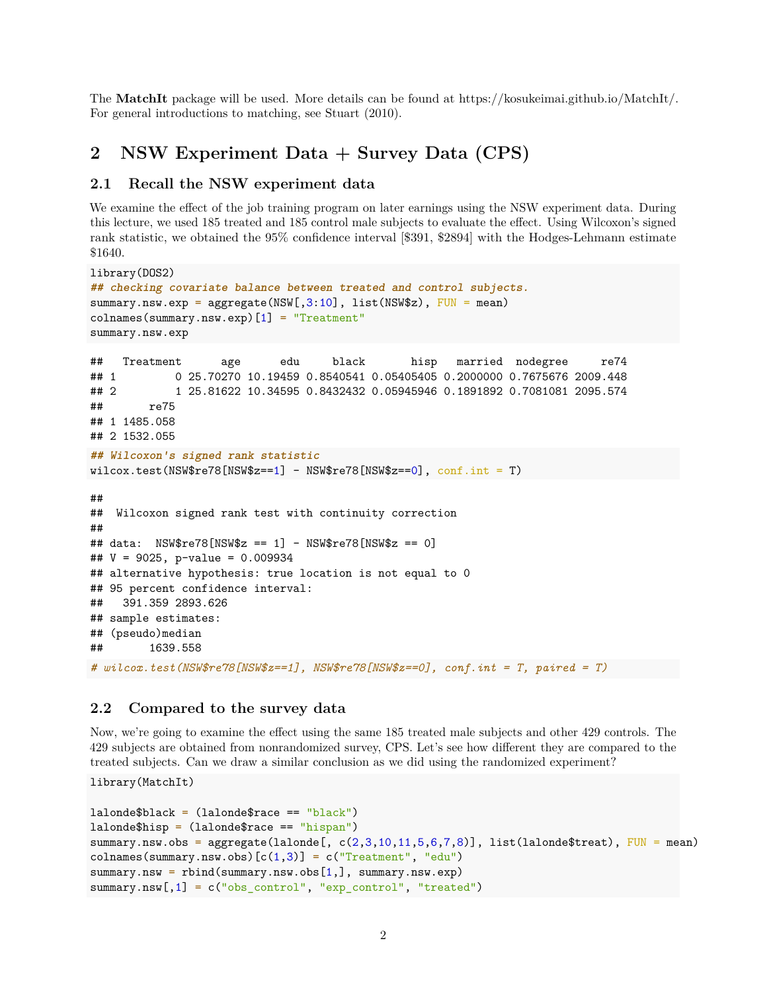The **MatchIt** package will be used. More details can be found at [https://kosukeimai.github.io/MatchIt/.](https://kosukeimai.github.io/MatchIt/) For general introductions to matching, see Stuart (2010).

## <span id="page-1-0"></span>**2 NSW Experiment Data + Survey Data (CPS)**

#### <span id="page-1-1"></span>**2.1 Recall the NSW experiment data**

We examine the effect of the job training program on later earnings using the NSW experiment data. During this lecture, we used 185 treated and 185 control male subjects to evaluate the effect. Using Wilcoxon's signed rank statistic, we obtained the 95% confidence interval [\$391, \$2894] with the Hodges-Lehmann estimate \$1640.

```
library(DOS2)
## checking covariate balance between treated and control subjects.
summary.nsw.exp = aggregate(NSW[, 3:10], list(NSW$z), FUN = mean)
colnames(summary.nsw.exp)[1] = "Treatment"
summary.nsw.exp
## Treatment age edu black hisp married nodegree re74
## 1 0 25.70270 10.19459 0.8540541 0.05405405 0.2000000 0.7675676 2009.448
## 2 1 25.81622 10.34595 0.8432432 0.05945946 0.1891892 0.7081081 2095.574
## re75
## 1 1485.058
## 2 1532.055
## Wilcoxon's signed rank statistic
wilcox.test(NSW$re78[NSW$z==1] - NSW$re78[NSW$z==0], conf.int = T)##
## Wilcoxon signed rank test with continuity correction
##
## data: NSW$re78[NSW$z == 1] - NSW$re78[NSW$z == 0]
## V = 9025, p-value = 0.009934
## alternative hypothesis: true location is not equal to 0
## 95 percent confidence interval:
## 391.359 2893.626
## sample estimates:
## (pseudo)median
## 1639.558
# wilcox.test(NSW$re78[NSW$z==1], NSW$re78[NSW$z==0], conf.int = T, paired = T)
```
#### <span id="page-1-2"></span>**2.2 Compared to the survey data**

Now, we're going to examine the effect using the same 185 treated male subjects and other 429 controls. The 429 subjects are obtained from nonrandomized survey, CPS. Let's see how different they are compared to the treated subjects. Can we draw a similar conclusion as we did using the randomized experiment?

library(MatchIt)

```
laborde$black = (lalone$race == "black")lalonde$hisp = (lalonde$race == "hispan")
summary.nsw.obs = aggregate(lalonde[, c(2,3,10,11,5,6,7,8)], list(lalonde$treat), FUN = mean)
colnames(summary.nsw.obs)[c(1,3)] = c("Treatment", "edu")summary.nsw = rbind(summary.nsw.obs[1,], summary.nsw.exp)
summary.nsw[,1] = c("obs_control", "exp_control", "treated")
```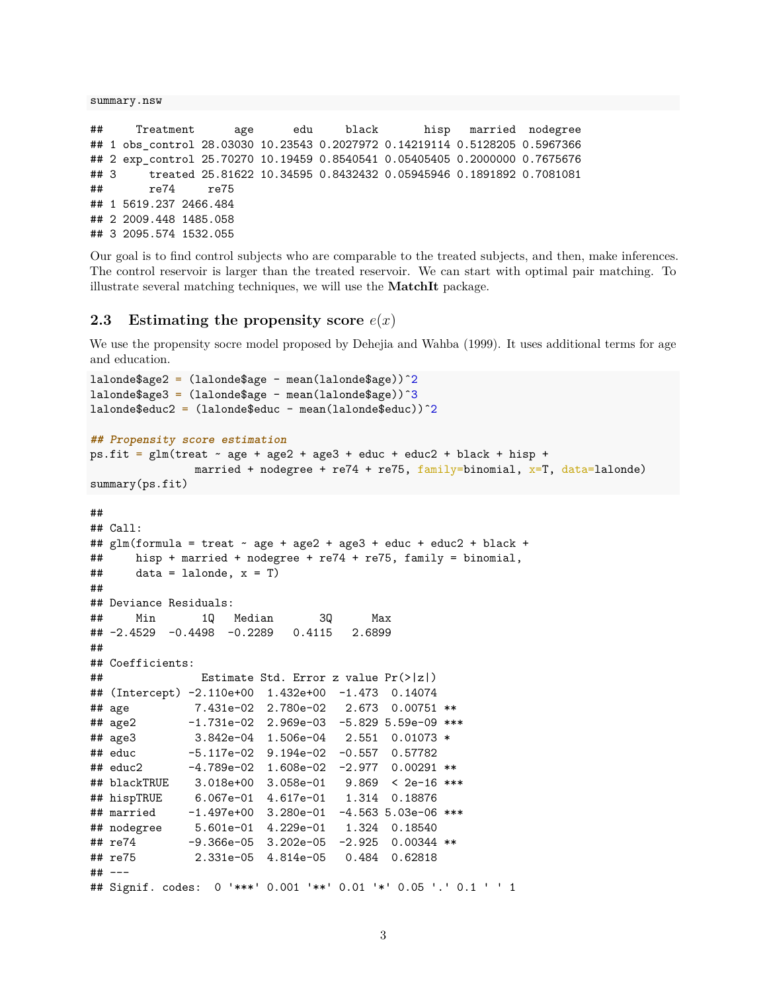summary.nsw

```
## Treatment age edu black hisp married nodegree
## 1 obs_control 28.03030 10.23543 0.2027972 0.14219114 0.5128205 0.5967366
## 2 exp_control 25.70270 10.19459 0.8540541 0.05405405 0.2000000 0.7675676
## 3 treated 25.81622 10.34595 0.8432432 0.05945946 0.1891892 0.7081081
## re74 re75
## 1 5619.237 2466.484
## 2 2009.448 1485.058
## 3 2095.574 1532.055
```
Our goal is to find control subjects who are comparable to the treated subjects, and then, make inferences. The control reservoir is larger than the treated reservoir. We can start with optimal pair matching. To illustrate several matching techniques, we will use the **MatchIt** package.

#### <span id="page-2-0"></span>**2.3** Estimating the propensity score  $e(x)$

We use the propensity socre model proposed by Dehejia and Wahba (1999). It uses additional terms for age and education.

```
lalonde$age2 = (lalonde$age - mean(lalonde$age))ˆ2
lalonde$age3 = (lalonde$age - mean(lalonde$age))^3
lalonde$educ2 = (lalonde$educ - mean(lalonde$educ))<sup>\gamma</sup>2
## Propensity score estimation
ps.fit = glm(treat ~ age + age2 + age3 + educ + educ2 + black + hisp +married + nodegree + re74 + re75, family=binomial, x=T, data=lalonde)
summary(ps.fit)
##
## Call:
## glm(formula = treat ~ age + age2 + age3 + educ + educ2 + black +## hisp + married + nodegree + re74 + re75, family = binomial,
\# data = lalonde, x = T)
##
## Deviance Residuals:
## Min 1Q Median 3Q Max
## -2.4529 -0.4498 -0.2289 0.4115 2.6899
##
## Coefficients:
## Estimate Std. Error z value Pr(>|z|)
## (Intercept) -2.110e+00 1.432e+00 -1.473 0.14074
## age 7.431e-02 2.780e-02 2.673 0.00751 **
## age2 -1.731e-02 2.969e-03 -5.829 5.59e-09 ***
## age3 3.842e-04 1.506e-04 2.551 0.01073 *
## educ -5.117e-02 9.194e-02 -0.557 0.57782
## educ2 -4.789e-02 1.608e-02 -2.977 0.00291 **
## blackTRUE 3.018e+00 3.058e-01 9.869 < 2e-16 ***
## hispTRUE 6.067e-01 4.617e-01 1.314 0.18876
## married -1.497e+00 3.280e-01 -4.563 5.03e-06 ***
## nodegree 5.601e-01 4.229e-01
## re74 -9.366e-05 3.202e-05 -2.925 0.00344 **
## re75 2.331e-05 4.814e-05 0.484 0.62818
## ---
## Signif. codes: 0 '***' 0.001 '**' 0.01 '*' 0.05 '.' 0.1 ' ' 1
```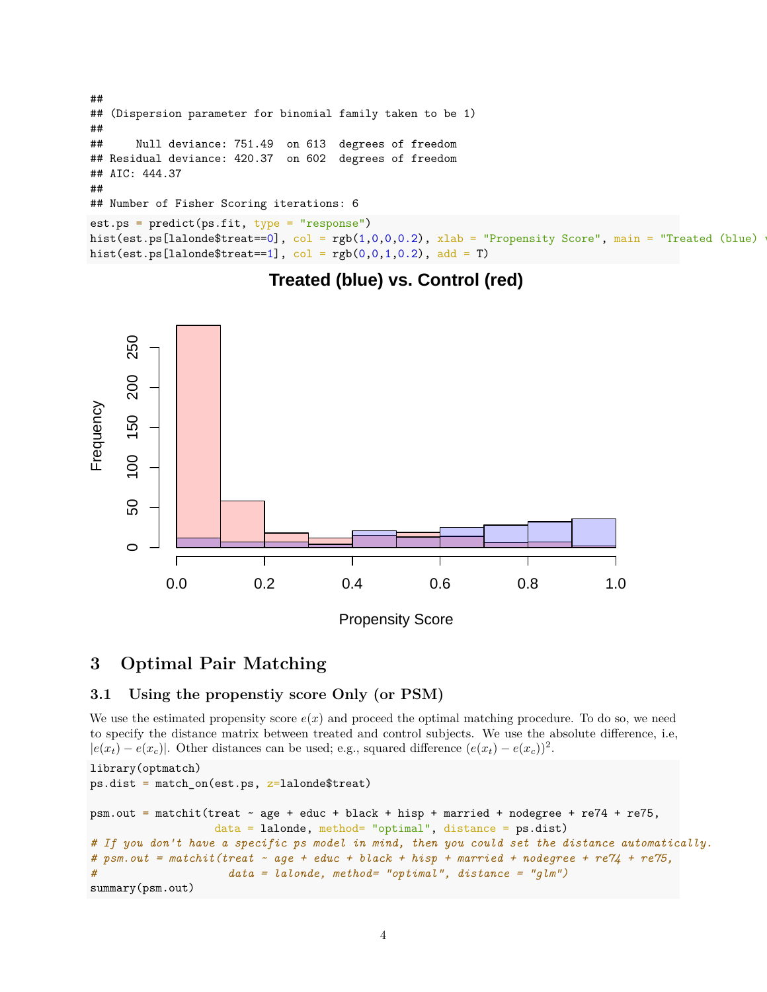```
##
## (Dispersion parameter for binomial family taken to be 1)
##
## Null deviance: 751.49 on 613 degrees of freedom
## Residual deviance: 420.37 on 602 degrees of freedom
## AIC: 444.37
##
## Number of Fisher Scoring iterations: 6
est.ps = predict(ps.fit, type = "response")
hist(est.ps[lalonde$treat==0], col = rgb(1,0,0,0.2), xlab = "Propensity Score", main = "Treated (blue)
hist(est.ps[lalonde$treat==1], col = rgb(0,0,1,0.2), add = T)
```
## **Treated (blue) vs. Control (red)**



## <span id="page-3-0"></span>**3 Optimal Pair Matching**

### <span id="page-3-1"></span>**3.1 Using the propenstiy score Only (or PSM)**

We use the estimated propensity score  $e(x)$  and proceed the optimal matching procedure. To do so, we need to specify the distance matrix between treated and control subjects. We use the absolute difference, i.e,  $|e(x_t) - e(x_c)|$ . Other distances can be used; e.g., squared difference  $(e(x_t) - e(x_c))^2$ .

```
library(optmatch)
ps.dist = match_on(est.ps, z=ladonde$treat)psm.out = matchit(treat ~ age + educ + black + hisp + married + nodegree + re74 + re75,
                  data = lalonde, method= "optimal", distance = ps.dist)
# If you don't have a specific ps model in mind, then you could set the distance automatically.
# psm.out = matchit(treat ~ age + educ + black + hisp + married + nodegree + re74 + re75,
# data = lalonde, method= "optimal", distance = "glm")
summary(psm.out)
```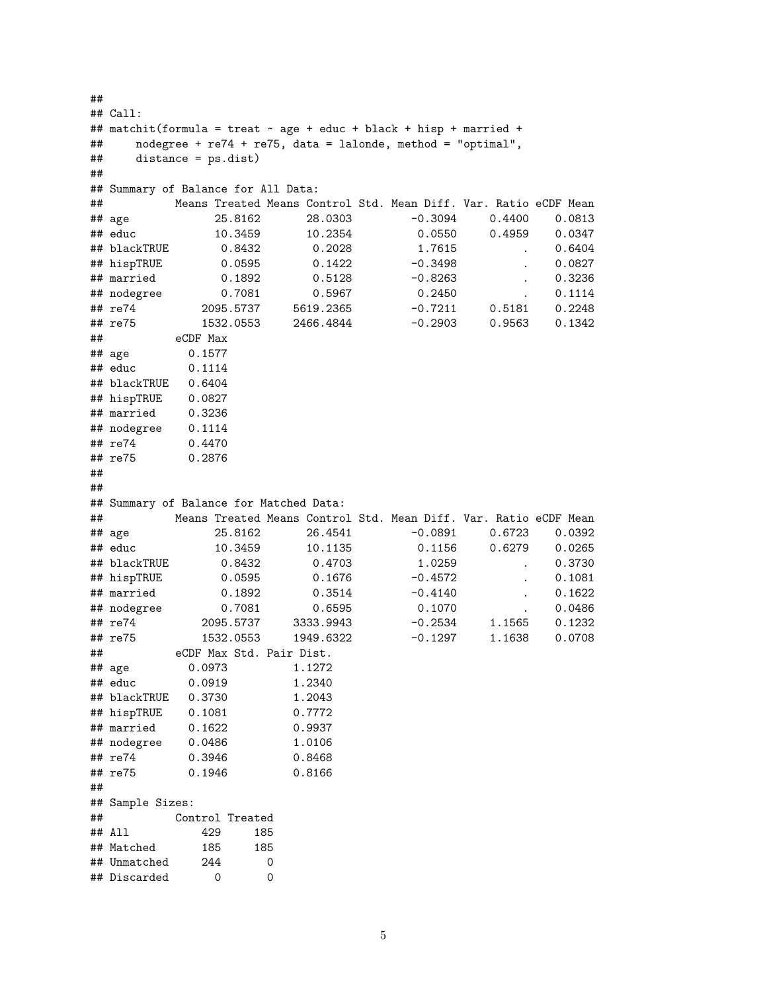```
##
## Call:
## matchit(formula = treat \sim age + educ + black + hisp + married +
## nodegree + re74 + re75, data = lalonde, method = "optimal",
## distance = ps.dist)
##
## Summary of Balance for All Data:
## Means Treated Means Control Std. Mean Diff. Var. Ratio eCDF Mean
## age 25.8162 28.0303 -0.3094 0.4400 0.0813
## educ 10.3459 10.2354 0.0550 0.4959 0.0347
## blackTRUE 0.8432 0.2028 1.7615 . 0.6404
## hispTRUE 0.0595 0.1422 -0.3498 . 0.0827
## married 0.1892 0.5128 -0.8263 . 0.3236
## nodegree 0.7081 0.5967 0.2450 . 0.1114
## re74 2095.5737 5619.2365 -0.7211 0.5181 0.2248
                                      0.9563 0.1342## eCDF Max
## age 0.1577
## educ 0.1114
## blackTRUE 0.6404
## hispTRUE 0.0827
## married 0.3236
## nodegree 0.1114
## re74 0.4470
## re75 0.2876
##
##
## Summary of Balance for Matched Data:
## Means Treated Means Control Std. Mean Diff. Var. Ratio eCDF Mean
## age 25.8162 26.4541 -0.0891 0.6723 0.0392
## educ 10.3459 10.1135 0.1156 0.6279 0.0265
## blackTRUE 0.8432 0.4703 1.0259 . 0.3730
## hispTRUE 0.0595 0.1676 -0.4572 . 0.1081
## married 0.1892 0.3514 -0.4140 . 0.1622
## nodegree 0.7081 0.6595 0.1070 . 0.0486
## re74 2095.5737 3333.9943 -0.2534 1.1565 0.1232
## re75 1532.0553 1949.6322 -0.1297 1.1638 0.0708
## eCDF Max Std. Pair Dist.
## age 0.0973 1.1272
## educ 0.0919 1.2340
## blackTRUE 0.3730 1.2043
## hispTRUE 0.1081 0.7772
## married 0.1622 0.9937
## nodegree 0.0486 1.0106
## re74 0.3946 0.8468
## re75 0.1946 0.8166
##
## Sample Sizes:
## Control Treated
## All 429 185
## Matched 185 185
## Unmatched 244 0
## Discarded 0 0
```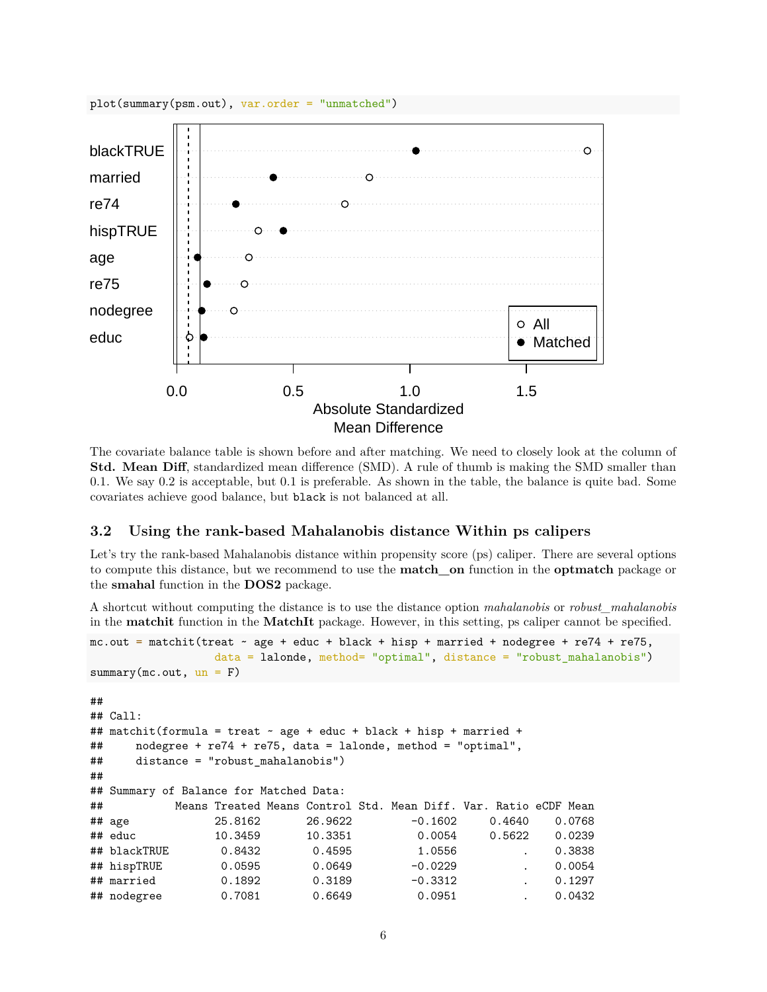

The covariate balance table is shown before and after matching. We need to closely look at the column of **Std. Mean Diff**, standardized mean difference (SMD). A rule of thumb is making the SMD smaller than 0.1. We say 0.2 is acceptable, but 0.1 is preferable. As shown in the table, the balance is quite bad. Some covariates achieve good balance, but black is not balanced at all.

#### <span id="page-5-0"></span>**3.2 Using the rank-based Mahalanobis distance Within ps calipers**

Let's try the rank-based Mahalanobis distance within propensity score (ps) caliper. There are several options to compute this distance, but we recommend to use the **match\_on** function in the **optmatch** package or the **smahal** function in the **DOS2** package.

A shortcut without computing the distance is to use the distance option *mahalanobis* or *robust\_mahalanobis* in the **matchit** function in the **MatchIt** package. However, in this setting, ps caliper cannot be specified.

```
mc.out = matchit(treat - age + educ + black + hisp + married + nodefree + re74 + re75,data = lalonde, method= "optimal", distance = "robust_mahalanobis")
summary(mc.out, un = F)##
## Call:
## matchit(formula = treat ~ age + educ + black + hisp + married +
## nodegree + re74 + re75, data = lalonde, method = "optimal",
## distance = "robust_mahalanobis")
##
## Summary of Balance for Matched Data:
## Means Treated Means Control Std. Mean Diff. Var. Ratio eCDF Mean
## age 25.8162 26.9622 -0.1602 0.4640 0.0768
## educ 10.3459 10.3351 0.0054 0.5622 0.0239
## blackTRUE 0.8432 0.4595 1.0556 . 0.3838
## hispTRUE 0.0595 0.0649 -0.0229 . 0.0054
## married 0.1892 0.3189 -0.3312 . 0.1297
## nodegree 0.7081 0.6649 0.0951 . 0.0432
```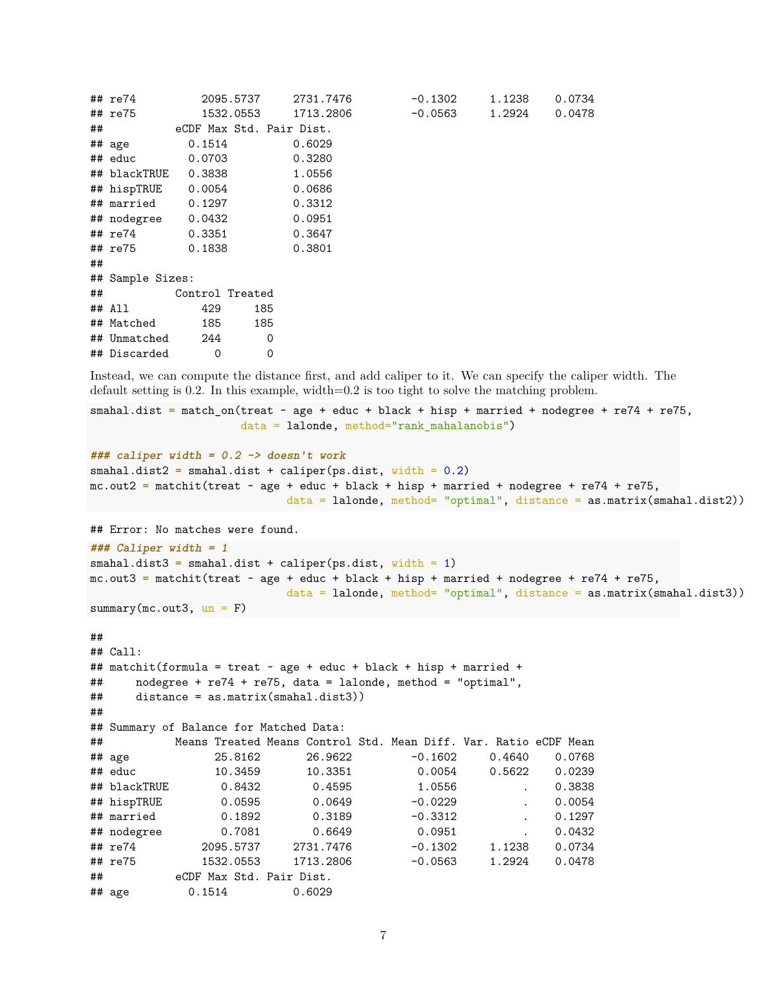|    | ## re74             |                          | 2095.5737 | 2731.7476 | -0.1302 | 1.1238 | 0.0734 |
|----|---------------------|--------------------------|-----------|-----------|---------|--------|--------|
|    | ## re75             |                          | 1532.0553 | 1713.2806 | -0.0563 | 1.2924 | 0.0478 |
|    | ##                  | eCDF Max Std. Pair Dist. |           |           |         |        |        |
|    | ## age              | 0.1514                   |           | 0.6029    |         |        |        |
|    | ## educ             | 0.0703                   |           | 0.3280    |         |        |        |
|    | ## blackTRUE 0.3838 |                          |           | 1.0556    |         |        |        |
|    | ## hispTRUE 0.0054  |                          |           | 0.0686    |         |        |        |
|    | ## married 0.1297   |                          |           | 0.3312    |         |        |        |
|    | ## nodegree 0.0432  |                          |           | 0.0951    |         |        |        |
|    | ## re74 0.3351      |                          |           | 0.3647    |         |        |        |
|    | ## re75             | 0.1838                   |           | 0.3801    |         |        |        |
| ## |                     |                          |           |           |         |        |        |
|    | ## Sample Sizes:    |                          |           |           |         |        |        |
|    | ##                  | Control Treated          |           |           |         |        |        |
|    | ## All              | 429                      | 185       |           |         |        |        |
|    | ## Matched          | 185                      | 185       |           |         |        |        |
|    | ## Unmatched 244    |                          | 0         |           |         |        |        |
|    | ## Discarded        | $\Omega$                 | 0         |           |         |        |        |

Instead, we can compute the distance first, and add caliper to it. We can specify the caliper width. The default setting is 0.2. In this example, width=0.2 is too tight to solve the matching problem.

```
smahal.dist = match_on(treat \sim age + educ + black + hisp + married + nodegree + re74 + re75,
                       data = lalonde, method="rank_mahalanobis")
```

```
### caliper width = 0.2 -> doesn't work
smahal.dist2 = smahal.dist + caliper(ps.dist, width = 0.2)
mc.out2 = matchit(treat \sim age + educ + black + hisp + married + nodegree + re74 + re75,
                              data = lalonde, method= "optimal", distance = as.matrix(smahal.dist2))
```
## Error: No matches were found.

```
### Caliper width = 1
smahal.dist3 = smahal.dist + caliper(ps.dist, width = 1)
mc.out3 = matchit(treat ~ zage + educ + black + hisp + married + nodegree + re74 + re75,data = lalonde, method= "optimal", distance = as.matrix(smahal.dist3))
summarv(mc.out3, un = F)
```

```
##
```

```
## Call:
## matchit(formula = treat ~ age + educ + black + hisp + married +
## nodegree + re74 + re75, data = lalonde, method = "optimal",
## distance = as.matrix(smahal.dist3))
##
## Summary of Balance for Matched Data:
## Means Treated Means Control Std. Mean Diff. Var. Ratio eCDF Mean
## age 25.8162 26.9622 -0.1602 0.4640 0.0768
## educ 10.3459 10.3351 0.0054 0.5622 0.0239
## blackTRUE 0.8432 0.4595 1.0556 . 0.3838
## hispTRUE 0.0595 0.0649 -0.0229 . 0.0054
## married 0.1892 0.3189 -0.3312 . 0.1297
## nodegree 0.7081 0.6649 0.0951 . 0.0432
## re74 2095.5737 2731.7476 -0.1302 1.1238 0.0734
## re75 1532.0553 1713.2806 -0.0563 1.2924 0.0478
## eCDF Max Std. Pair Dist.
## age 0.1514 0.6029
```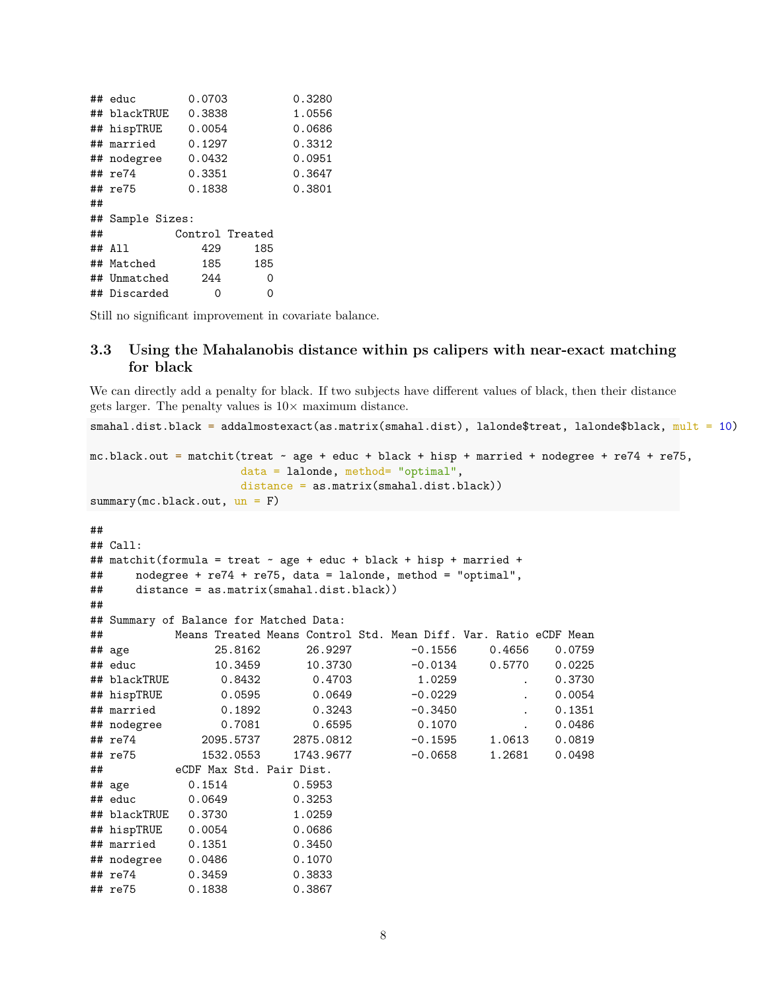|    | ## educ          | 0.0703          |     | 0.3280 |
|----|------------------|-----------------|-----|--------|
|    | ## blackTRUE     | 0.3838          |     | 1.0556 |
|    | ## hispTRUE      | 0.0054          |     | 0.0686 |
|    | ## married       | 0.1297          |     | 0.3312 |
|    | ## nodegree      | 0.0432          |     | 0.0951 |
|    | ## re74          | 0.3351          |     | 0.3647 |
|    | ## re75          | 0.1838          |     | 0.3801 |
| ## |                  |                 |     |        |
|    | ## Sample Sizes: |                 |     |        |
| ## |                  | Control Treated |     |        |
|    | ## All           | 429             | 185 |        |
|    | ## Matched       | 185             | 185 |        |
|    | ## Unmatched 244 |                 | 0   |        |
|    | ## Discarded     | Ω               | 0   |        |

Still no significant improvement in covariate balance.

#### <span id="page-7-0"></span>**3.3 Using the Mahalanobis distance within ps calipers with near-exact matching for black**

We can directly add a penalty for black. If two subjects have different values of black, then their distance gets larger. The penalty values is  $10\times$  maximum distance.

```
smahal.dist.black = addalmostexact(as.matrix(smahal.dist), lalonde$treat, lalonde$black, mult = 10)
mc.black.out = matchit(treat ~ age + educ + black + hisp + married + nodegree + re74 + re75,
                 data = lalonde, method= "optimal",
                 distance = as.matrix(smahal.dist.black))
summary(mc.black.out, un = F)
##
## Call:
## matchit(formula = treat ~ age + educ + black + hisp + married +
## nodegree + re74 + re75, data = lalonde, method = "optimal",
## distance = as.matrix(smahal.dist.black))
##
## Summary of Balance for Matched Data:
## Means Treated Means Control Std. Mean Diff. Var. Ratio eCDF Mean
## age 25.8162 26.9297 -0.1556 0.4656 0.0759
## educ 10.3459 10.3730 -0.0134 0.5770 0.0225
## blackTRUE 0.8432 0.4703 1.0259 . 0.3730
## hispTRUE 0.0595 0.0649 -0.0229 . 0.0054
## married 0.1892 0.3243 -0.3450 . 0.1351
## nodegree 0.7081 0.6595 0.1070 . 0.0486
## re74 2095.5737 2875.0812 -0.1595 1.0613 0.0819
## re75 1532.0553 1743.9677 -0.0658 1.2681 0.0498
## eCDF Max Std. Pair Dist.
## age 0.1514 0.5953
## educ 0.0649 0.3253
## blackTRUE 0.3730 1.0259
## hispTRUE 0.0054 0.0686
## married 0.1351 0.3450
## nodegree 0.0486 0.1070
## re74 0.3459 0.3833
## re75 0.1838 0.3867
```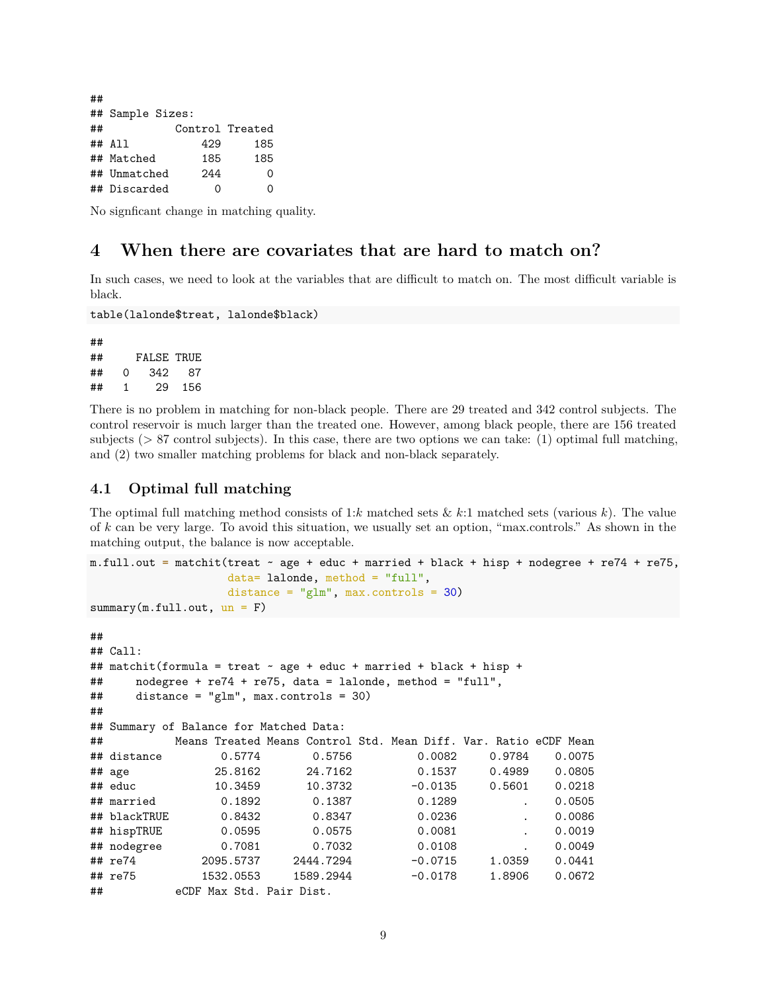## ## Sample Sizes: ## Control Treated ## All 429 185 ## Matched 185 185 ## Unmatched 244 0 ## Discarded 0 0

No signficant change in matching quality.

## <span id="page-8-0"></span>**4 When there are covariates that are hard to match on?**

In such cases, we need to look at the variables that are difficult to match on. The most difficult variable is black.

```
table(lalonde$treat, lalonde$black)
```
## ## FALSE TRUE ## 0 342 87 ## 1 29 156

There is no problem in matching for non-black people. There are 29 treated and 342 control subjects. The control reservoir is much larger than the treated one. However, among black people, there are 156 treated subjects ( $> 87$  control subjects). In this case, there are two options we can take: (1) optimal full matching, and (2) two smaller matching problems for black and non-black separately.

## <span id="page-8-1"></span>**4.1 Optimal full matching**

## eCDF Max Std. Pair Dist.

The optimal full matching method consists of 1:*k* matched sets  $\& k:1$  matched sets (various *k*). The value of *k* can be very large. To avoid this situation, we usually set an option, "max.controls." As shown in the matching output, the balance is now acceptable.

```
m.full.out = matchit(treat ~ age + educ + married + black + hisp + nodegree + re74 + re75,
               data= lalonde, method = "full",
               distance = "glm", max.controls = 30)
summary(m-full.out, un = F)##
## Call:
## matchit(formula = treat ~ age + educ + married + black + hisp +
## nodegree + re74 + re75, data = lalonde, method = "full",
## distance = "glm", max.controls = 30)
##
## Summary of Balance for Matched Data:
## Means Treated Means Control Std. Mean Diff. Var. Ratio eCDF Mean
## distance 0.5774 0.5756 0.0082 0.9784 0.0075
## age 25.8162 24.7162 0.1537 0.4989 0.0805
## educ 10.3459 10.3732 -0.0135 0.5601 0.0218
## married 0.1892 0.1387 0.1289 . 0.0505
## blackTRUE 0.8432 0.8347 0.0236 . 0.0086
## hispTRUE 0.0595 0.0575 0.0081 . 0.0019
## nodegree 0.7081 0.7032 0.0108 . 0.0049
## re74 2095.5737 2444.7294 -0.0715 1.0359 0.0441
```
## re75 1532.0553 1589.2944 -0.0178 1.8906 0.0672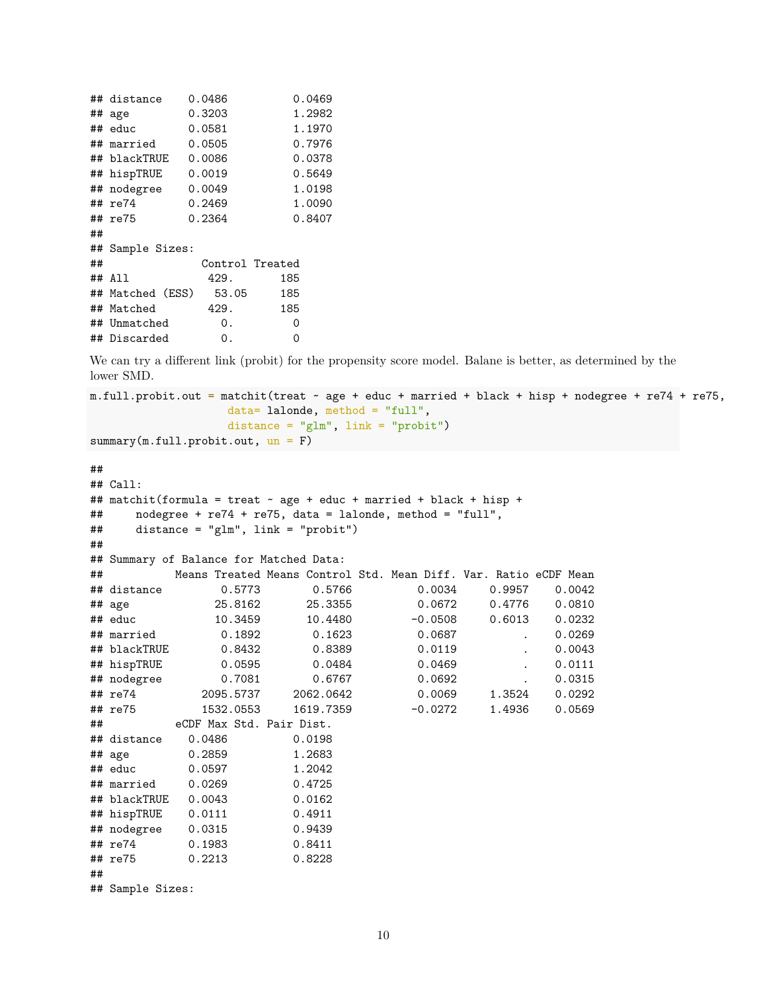| ## distance  |                  |                                                                                                            | 0.0469                   |
|--------------|------------------|------------------------------------------------------------------------------------------------------------|--------------------------|
| ## age       |                  |                                                                                                            | 1.2982                   |
| ## educ      |                  |                                                                                                            | 1.1970                   |
| ## married   |                  |                                                                                                            | 0.7976                   |
| ## blackTRUE |                  |                                                                                                            | 0.0378                   |
| ## hispTRUE  |                  |                                                                                                            | 0.5649                   |
| ## nodegree  |                  |                                                                                                            | 1.0198                   |
| ## re74      |                  |                                                                                                            | 1.0090                   |
| ## re75      |                  |                                                                                                            | 0.8407                   |
|              |                  |                                                                                                            |                          |
|              |                  |                                                                                                            |                          |
|              |                  |                                                                                                            |                          |
| ## All       | 429.             | 185                                                                                                        |                          |
|              |                  | 185                                                                                                        |                          |
| ## Matched   | 429.             | 185                                                                                                        |                          |
| ## Unmatched | 0.               |                                                                                                            | 0                        |
| ## Discarded | О.               |                                                                                                            | 0                        |
|              | ## Sample Sizes: | 0.0486<br>0.3203<br>0.0581<br>0.0505<br>0.0086<br>0.0019<br>0.0049<br>0.2469<br>0.2364<br>## Matched (ESS) | Control Treated<br>53.05 |

We can try a different link (probit) for the propensity score model. Balane is better, as determined by the lower SMD.

```
m.full.probit.out = matchit(treat \sim age + educ + married + black + hisp + nodegree + re74 + re75,
                     data= lalonde, method = "full",
                     distance = "glm", link = "probit")summary(m.full.probit.out, un = F)
```
#### ##

```
## Call:
## matchit(formula = treat ~ age + educ + married + black + hisp +
## nodegree + re74 + re75, data = lalonde, method = "full",
## distance = "glm", link = "probit")
##
## Summary of Balance for Matched Data:
## Means Treated Means Control Std. Mean Diff. Var. Ratio eCDF Mean
## distance 0.5773 0.5766 0.0034 0.9957 0.0042
## age 25.8162 25.3355 0.0672 0.4776 0.0810
## educ 10.3459 10.4480 -0.0508 0.6013 0.0232
## married 0.1892 0.1623 0.0687 . 0.0269
## blackTRUE 0.8432 0.8389 0.0119 . 0.0043
## hispTRUE 0.0595 0.0484 0.0469 . 0.0111
## nodegree 0.7081 0.6767 0.0692 . 0.0315
## re74 2095.5737 2062.0642 0.0069 1.3524 0.0292
## re75 1532.0553 1619.7359 -0.0272 1.4936 0.0569
## eCDF Max Std. Pair Dist.
## distance 0.0486 0.0198
## age 0.2859 1.2683
## educ 0.0597 1.2042
## married 0.0269 0.4725
## blackTRUE 0.0043 0.0162
## hispTRUE 0.0111 0.4911
## nodegree 0.0315 0.9439
## re74 0.1983 0.8411
## re75 0.2213 0.8228
##
## Sample Sizes:
```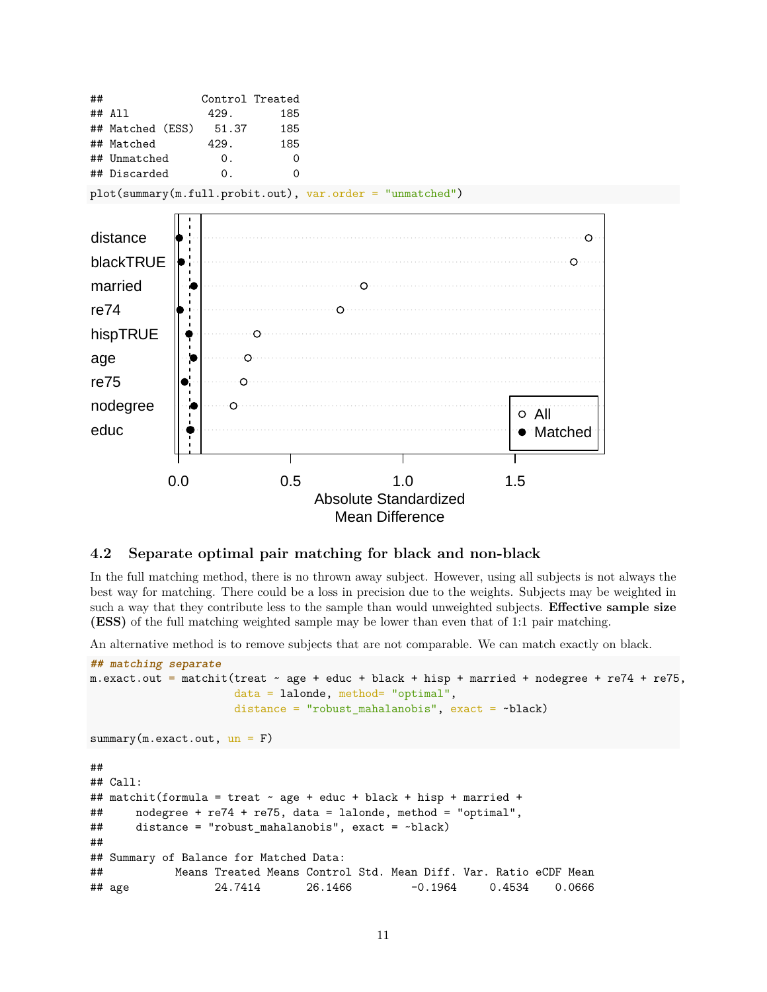

#### <span id="page-10-0"></span>**4.2 Separate optimal pair matching for black and non-black**

In the full matching method, there is no thrown away subject. However, using all subjects is not always the best way for matching. There could be a loss in precision due to the weights. Subjects may be weighted in such a way that they contribute less to the sample than would unweighted subjects. **Effective sample size (ESS)** of the full matching weighted sample may be lower than even that of 1:1 pair matching.

An alternative method is to remove subjects that are not comparable. We can match exactly on black.

```
## matching separate
m.exact.out = matchit(treat \sim age + educ + black + hisp + married + nodegree + re74 + re75,
                    data = lalonde, method= "optimal",
                    distance = "robust_mahalanobis", exact = ~black)
summary(m.exact.out, un = F)
##
## Call:
## matchit(formula = treat ~ age + educ + black + hisp + married +
## nodegree + re74 + re75, data = lalonde, method = "optimal",
## distance = "robust_mahalanobis", exact = ~black)
##
## Summary of Balance for Matched Data:
## Means Treated Means Control Std. Mean Diff. Var. Ratio eCDF Mean
## age 24.7414 26.1466 -0.1964 0.4534 0.0666
```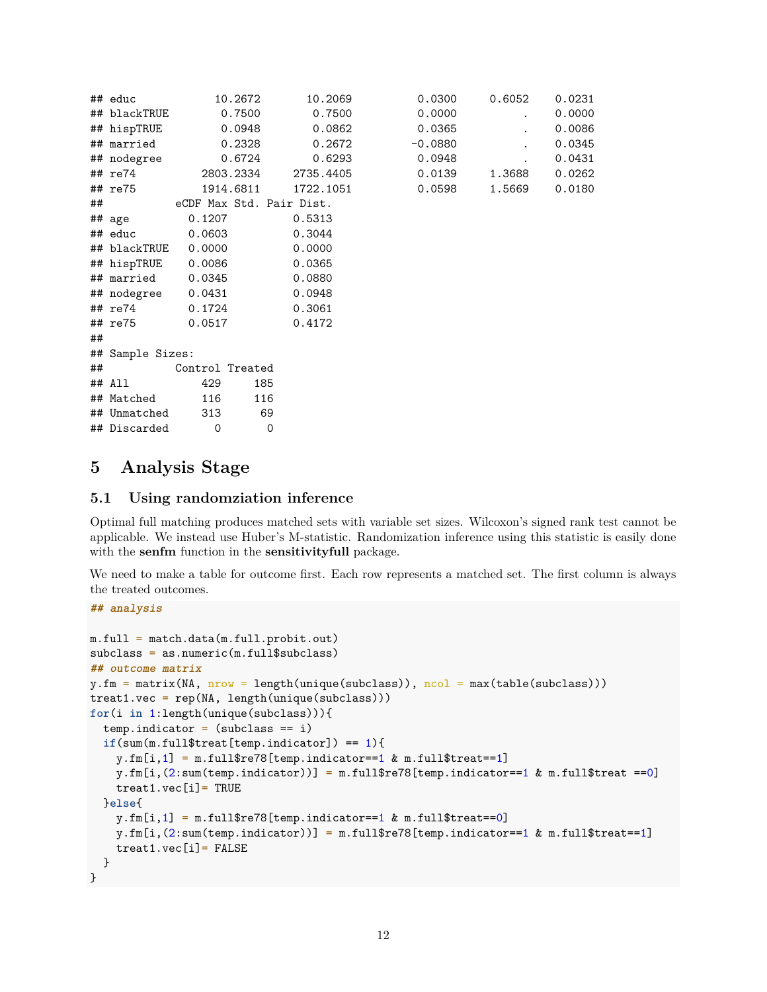|    | ## educ             |                 | 10.2672     | 10.2069                  | 0.0300    | 0.6052 | 0.0231 |
|----|---------------------|-----------------|-------------|--------------------------|-----------|--------|--------|
|    | ## blackTRUE        |                 | 0.7500      | 0.7500                   | 0.0000    |        | 0.0000 |
|    | ## hispTRUE         |                 | 0.0948      | 0.0862                   | 0.0365    |        | 0.0086 |
|    | ## married          |                 | 0.2328      | 0.2672                   | $-0.0880$ |        | 0.0345 |
|    | ## nodegree         |                 | 0.6724      | 0.6293                   | 0.0948    |        | 0.0431 |
|    | ## re74             |                 | 2803.2334   | 2735.4405                | 0.0139    | 1.3688 | 0.0262 |
|    | ## re75             |                 | 1914.6811   | 1722.1051                | 0.0598    | 1.5669 | 0.0180 |
| ## |                     |                 |             | eCDF Max Std. Pair Dist. |           |        |        |
|    | ## age              | 0.1207          |             | 0.5313                   |           |        |        |
|    | ## educ             | 0.0603          |             | 0.3044                   |           |        |        |
|    | ## blackTRUE 0.0000 |                 |             | 0.0000                   |           |        |        |
|    | ## hispTRUE         | 0.0086          |             | 0.0365                   |           |        |        |
|    | ## married 0.0345   |                 |             | 0.0880                   |           |        |        |
|    | ## nodegree 0.0431  |                 |             | 0.0948                   |           |        |        |
|    | ## re74             | 0.1724          |             | 0.3061                   |           |        |        |
|    | ## re75             | 0.0517          |             | 0.4172                   |           |        |        |
| ## |                     |                 |             |                          |           |        |        |
|    | ## Sample Sizes:    |                 |             |                          |           |        |        |
|    | ##                  | Control Treated |             |                          |           |        |        |
|    | ## All              | 429             | 185         |                          |           |        |        |
|    | ## Matched          | 116             | 116         |                          |           |        |        |
|    | ## Unmatched        | 313             | 69          |                          |           |        |        |
|    | ## Discarded        | $\mathbf 0$     | $\mathbf 0$ |                          |           |        |        |

| 0.0300    | 0.6052 | 0.0231 |
|-----------|--------|--------|
| 0.0000    |        | 0.0000 |
| 0.0365    |        | 0.0086 |
| $-0.0880$ |        | 0.0345 |
| 0.0948    |        | 0.0431 |
| 0.0139    | 1.3688 | 0.0262 |
| 0.0598    | 1.5669 | 0.0180 |

## <span id="page-11-0"></span>**5 Analysis Stage**

### <span id="page-11-1"></span>**5.1 Using randomziation inference**

Optimal full matching produces matched sets with variable set sizes. Wilcoxon's signed rank test cannot be applicable. We instead use Huber's M-statistic. Randomization inference using this statistic is easily done with the **senfm** function in the **sensitivityfull** package.

We need to make a table for outcome first. Each row represents a matched set. The first column is always the treated outcomes.

**## analysis**

```
m.full = match.data(m.full.probit.out)
subclass = as.numeric(m.full$subclass)
## outcome matrix
y.fm = matrix(M, nrow = length(unique(subclass)), ncol = max(table(subclass)))treat1.vec = rep(M, length(unique(subclass)))for(i in 1:length(unique(subclass))){
 tempindactor = (subclass == i)if(sum(m-full1$treat[temp-indication]) == 1){y.fm[i,1] = m.full$re78[temp.index==1 & m.full$treat==1]y.fm[i,(2:sum(temp.indictionary))] = m.full$re78[temp.indictor==1 & m.full$treat ==0]treat1.vec[i]= TRUE
 }else{
   y.fm[i,1] = m.full$re78[temp.index==1 & m.full$treat==0]y.fm[i,(2:sum(temp.indicator))] = m.full$re78[temp.indicator==1 & m.full$treat==1]
   treat1.vec[i]= FALSE
 }
}
```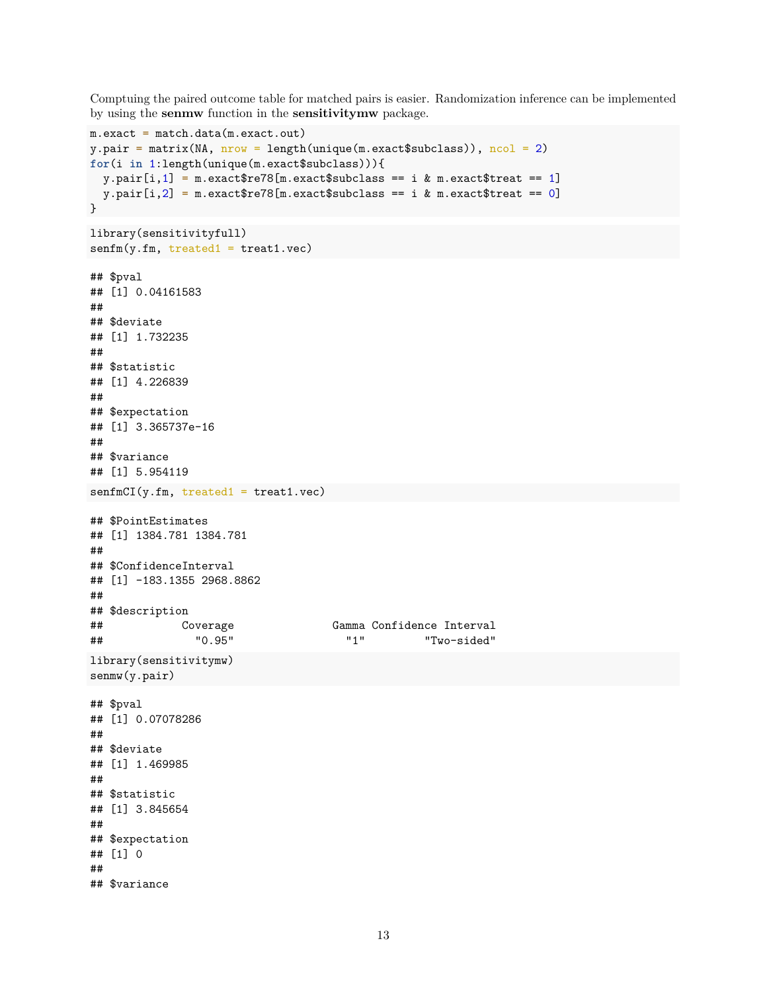Comptuing the paired outcome table for matched pairs is easier. Randomization inference can be implemented by using the **senmw** function in the **sensitivitymw** package.

```
m {\cdot} exact = match {\cdot} data(m {\cdot} exact {\cdot} out)y.pair = matrix(NA, nrow = length(unique(m.exact$subclass)), ncol = 2)for(i in 1:length(unique(m.exact$subclass))){
  y. pair[i, 1] = m. exact$re78[m.exact$subclass == i & m.exact$treat == 1]
  y.pair[i,2] = m.exact$re78[m.exact$subclass == i & m.exact$treat == 0]
}
library(sensitivityfull)
senfm(y.fm, treated1 = treat1.vec)## $pval
## [1] 0.04161583
##
## $deviate
## [1] 1.732235
##
## $statistic
## [1] 4.226839
##
## $expectation
## [1] 3.365737e-16
##
## $variance
## [1] 5.954119
senfmCI(y.fm, treated1 = treat1.vec)
## $PointEstimates
## [1] 1384.781 1384.781
##
## $ConfidenceInterval
## [1] -183.1355 2968.8862
##
## $description
## Coverage Gamma Confidence Interval
## "0.95" "1" "Two-sided"
library(sensitivitymw)
senmw(y.pair)
## $pval
## [1] 0.07078286
##
## $deviate
## [1] 1.469985
##
## $statistic
## [1] 3.845654
##
## $expectation
## [1] 0
##
## $variance
```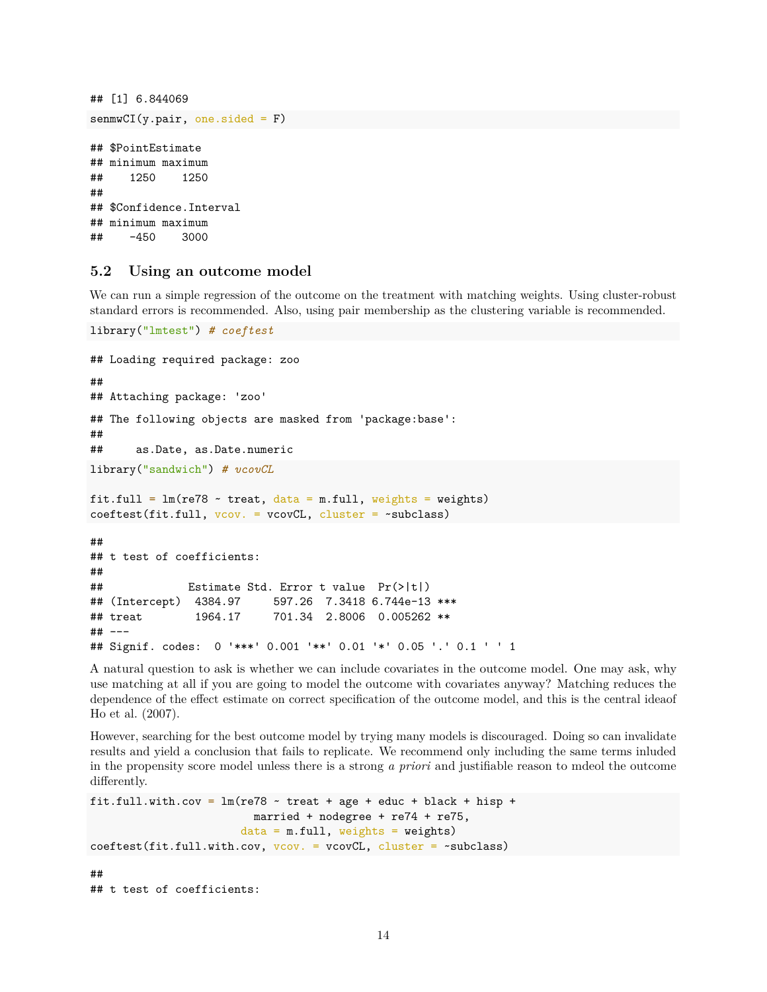```
## [1] 6.844069
sem(wCI(y.pair, one.side d = F))## $PointEstimate
## minimum maximum
## 1250 1250
##
## $Confidence.Interval
## minimum maximum
## -450 3000
```
#### <span id="page-13-0"></span>**5.2 Using an outcome model**

We can run a simple regression of the outcome on the treatment with matching weights. Using cluster-robust standard errors is recommended. Also, using pair membership as the clustering variable is recommended.

```
library("lmtest") # coeftest
```

```
## Loading required package: zoo
##
## Attaching package: 'zoo'
## The following objects are masked from 'package:base':
##
## as.Date, as.Date.numeric
library("sandwich") # vcovCL
fit.full = lm(re78 \sim treat, data = m-full, weights = weights)coeftest(fit.full, vcov. = vcovCL, cluster = ~subclass)
##
## t test of coefficients:
##
## Estimate Std. Error t value Pr(>|t|)
## (Intercept) 4384.97 597.26 7.3418 6.744e-13 ***
## treat 1964.17 701.34 2.8006 0.005262 **
## ---
## Signif. codes: 0 '***' 0.001 '**' 0.01 '*' 0.05 '.' 0.1 ' ' 1
```
A natural question to ask is whether we can include covariates in the outcome model. One may ask, why use matching at all if you are going to model the outcome with covariates anyway? Matching reduces the dependence of the effect estimate on correct specification of the outcome model, and this is the central ideaof Ho et al. (2007).

However, searching for the best outcome model by trying many models is discouraged. Doing so can invalidate results and yield a conclusion that fails to replicate. We recommend only including the same terms inluded in the propensity score model unless there is a strong *a priori* and justifiable reason to mdeol the outcome differently.

```
fit.full.with.cov = lm(re78 \sim treat + age + educ + black + hisp +married + nodegree + re74 + re75,
                         data = m-full, weights = weights)coeftest(fit.full.with.cov, v\text{-}cov. = v\text{-}covCL, cluster = \negsubclass)
##
## t test of coefficients:
```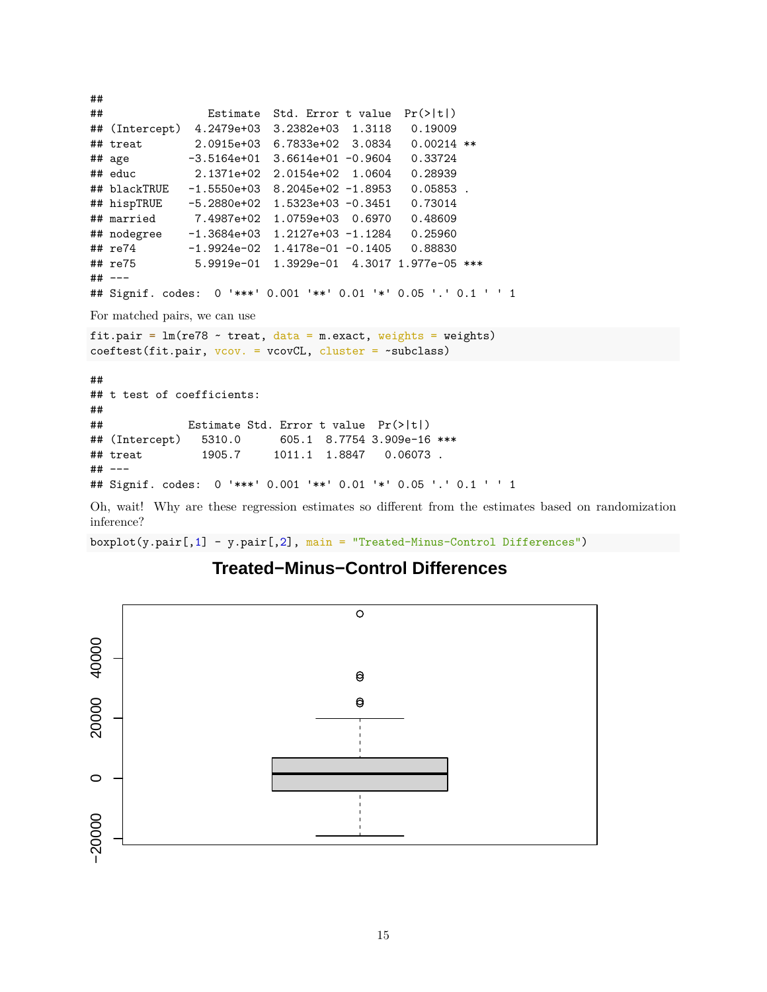```
##
## Estimate Std. Error t value Pr(>|t|)
## (Intercept) 4.2479e+03 3.2382e+03 1.3118 0.19009
## treat 2.0915e+03 6.7833e+02 3.0834 0.00214 **
## age -3.5164e+01 3.6614e+01 -0.9604 0.33724
## educ 2.1371e+02 2.0154e+02 1.0604 0.28939
## blackTRUE -1.5550e+03 8.2045e+02 -1.8953 0.05853 .
## hispTRUE -5.2880e+02 1.5323e+03 -0.3451 0.73014
## married 7.4987e+02 1.0759e+03 0.6970 0.48609
## nodegree -1.3684e+03 1.2127e+03 -1.1284 0.25960
## re74 -1.9924e-02 1.4178e-01 -0.1405 0.88830
## re75 5.9919e-01 1.3929e-01 4.3017 1.977e-05 ***
## ---
## Signif. codes: 0 '***' 0.001 '**' 0.01 '*' 0.05 '.' 0.1 ' ' 1
For matched pairs, we can use
fit.pair = lm(re78 \sim treat, data = m.exact, weights = weights)coeftest(fit.pair, vcov. = vcovCL, cluster = ~subclass)
##
## t test of coefficients:
##
## Estimate Std. Error t value Pr(>|t|)
## (Intercept) 5310.0 605.1 8.7754 3.909e-16 ***
## treat 1905.7 1011.1 1.8847 0.06073 .
## ---
## Signif. codes: 0 '***' 0.001 '**' 0.01 '*' 0.05 '.' 0.1 ' ' 1
```
Oh, wait! Why are these regression estimates so different from the estimates based on randomization inference?

boxplot(y.pair[,1] - y.pair[,2], main = "Treated-Minus-Control Differences")

## **Treated−Minus−Control Differences**

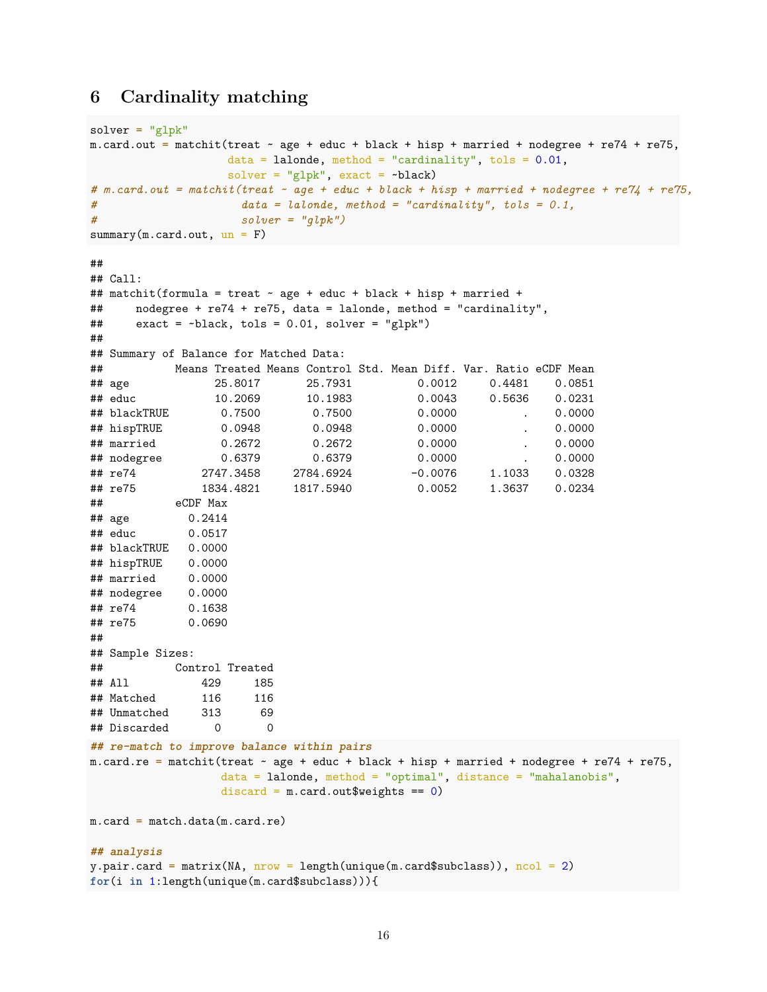## <span id="page-15-0"></span>**6 Cardinality matching**

```
solver = "glpk"m.card.out = matchit(treat \sim age + educ + black + hisp + married + nodegree + re74 + re75,
                 data = lalonde, method = "cardinality", tols = 0.01,
                 solver = "glpk", exact = \nublack)
# m.card.out = matchit(treat ~ age + educ + black + hisp + married + nodegree + re74 + re75,
# data = lalonde, method = "cardinality", tols = 0.1,
# solver = "glpk")
summary(m.card.out, un = F)
##
## Call:
## matchit(formula = treat \sim age + educ + black + hisp + married +
## nodegree + re74 + re75, data = lalonde, method = "cardinality",
## exact = ~black, tols = 0.01, solver = "glpk")
##
## Summary of Balance for Matched Data:
## Means Treated Means Control Std. Mean Diff. Var. Ratio eCDF Mean
## age 25.8017 25.7931 0.0012 0.4481 0.0851
## educ 10.2069 10.1983 0.0043 0.5636 0.0231
## blackTRUE 0.7500 0.7500 0.0000 . 0.0000
## hispTRUE 0.0948 0.0948 0.0000 . 0.0000
## married 0.2672 0.2672 0.0000 . 0.0000
## nodegree 0.6379 0.6379 0.0000 . 0.0000
## re74 2747.3458 2784.6924 -0.0076 1.1033 0.0328
## re75 1834.4821 1817.5940 0.0052 1.3637 0.0234
## eCDF Max
## age 0.2414
## educ 0.0517
## blackTRUE 0.0000
## hispTRUE 0.0000
## married 0.0000
## nodegree 0.0000
## re74 0.1638
## re75 0.0690
##
## Sample Sizes:
## Control Treated
## All 429 185
## Matched 116 116
## Unmatched 313 69
## Discarded 0 0
## re-match to improve balance within pairs
m.card.re = matchit(treat ~ age + educ + black + hisp + married + nodegree + re74 + re75,
                data = lalonde, method = "optimal", distance = "mahalanobis",
                discard = m.card.out$weights == 0)
m.card = match.data(m.card.re)
## analysis
y.pair.card = matrix(NA, nrow = length(unique(m.card$subclass)), ncol = 2)for(i in 1:length(unique(m.card$subclass))){
```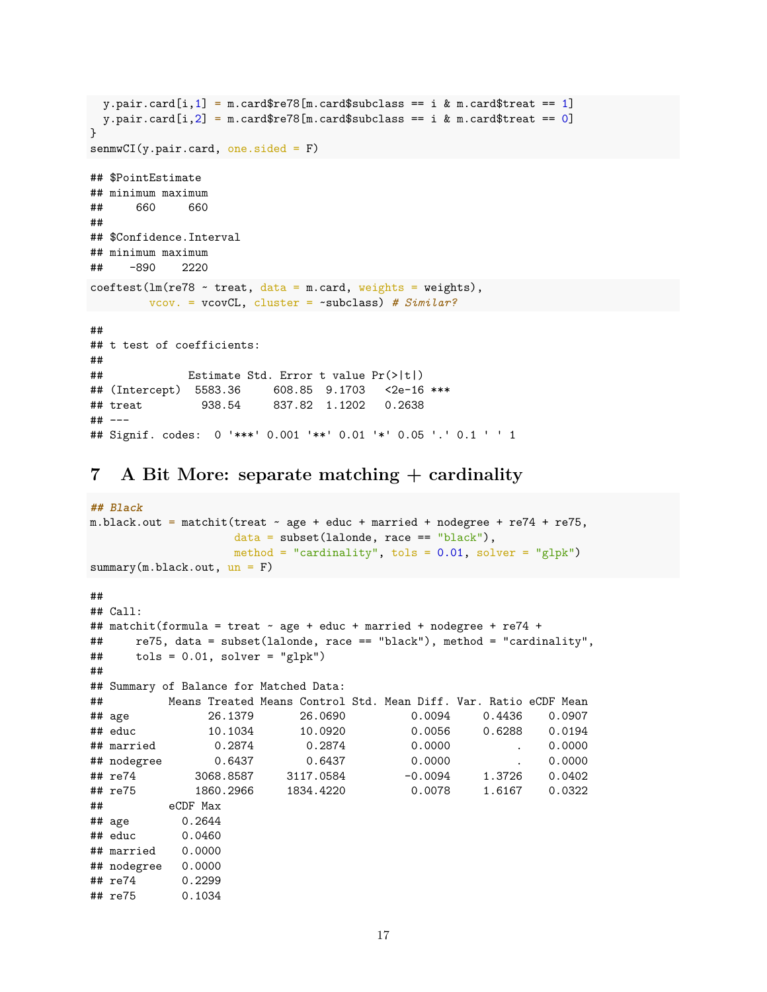```
y.pair.card[i,1] = m.card$re78[m.card$subclass == i & m.card$treat == 1]
 y.pair.card[i,2] = m.card$re78[m.card$subclass == i & m.card$treat == 0]
}
sem(wCI(y.pair.card, one.sided = F)## $PointEstimate
## minimum maximum
## 660 660
##
## $Confidence.Interval
## minimum maximum
## -890 2220
coeftest(lm(re78 ~ reat, data = m.card, weights = weights),vcov. = vcovCL, cluster = ~subclass) # Similar?
##
## t test of coefficients:
##
## Estimate Std. Error t value Pr(>|t|)
## (Intercept) 5583.36 608.85 9.1703 <2e-16 ***
## treat 938.54 837.82 1.1202 0.2638
## ---
## Signif. codes: 0 '***' 0.001 '**' 0.01 '*' 0.05 '.' 0.1 ' ' 1
```
<span id="page-16-0"></span>**7 A Bit More: separate matching + cardinality**

```
## Black
m.black.out = matchit(treat ~ age + educ + married + nodefree + re74 + re75,data = subset(lalonde, race == "black"),
                 method = "cardinality", tols = 0.01, solver = "glpk")
summary(m.black.out, un = F)##
## Call:
## matchit(formula = treat \sim age + educ + married + nodegree + re74 +
## re75, data = subset(lalonde, race == "black"), method = "cardinality",
\# tols = 0.01, solver = "glpk")
##
## Summary of Balance for Matched Data:
## Means Treated Means Control Std. Mean Diff. Var. Ratio eCDF Mean
## age 26.1379 26.0690 0.0094 0.4436 0.0907
## educ 10.1034 10.0920 0.0056 0.6288 0.0194
## married 0.2874 0.2874 0.0000 . 0.0000
## nodegree 0.6437 0.6437 0.0000 . 0.0000
## re74 3068.8587 3117.0584 -0.0094 1.3726 0.0402
## re75 1860.2966 1834.4220 0.0078 1.6167 0.0322
## eCDF Max
## age 0.2644
## educ 0.0460
## married 0.0000
## nodegree 0.0000
## re74 0.2299
## re75 0.1034
```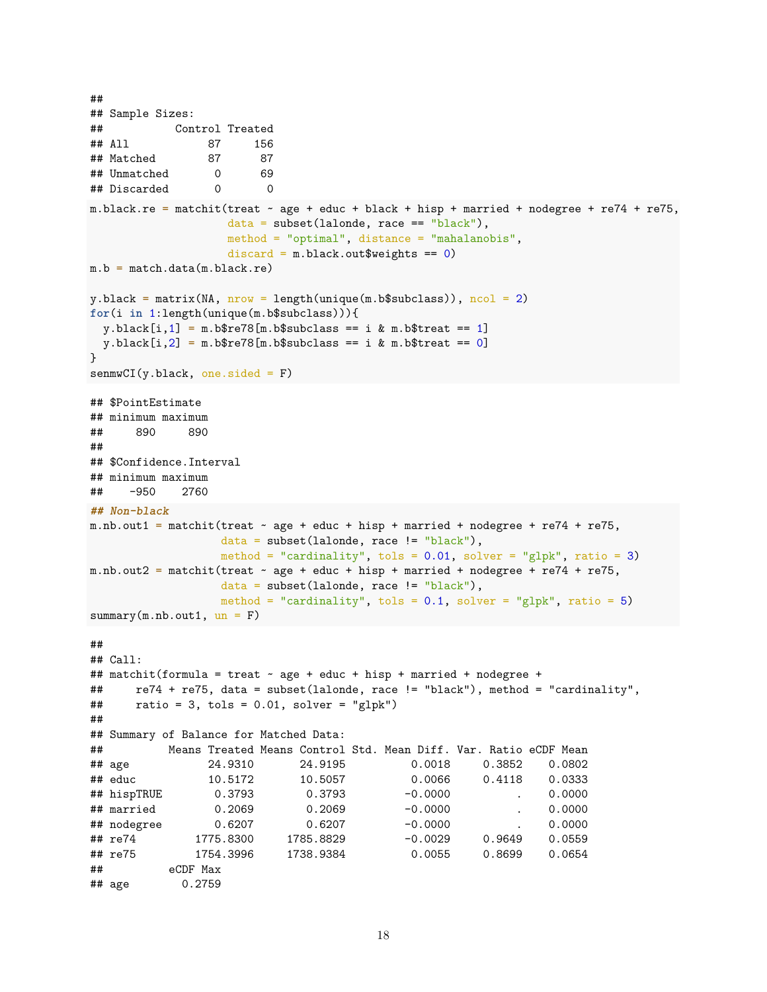```
##
## Sample Sizes:
## Control Treated
## All 87 156
## Matched 87 87
## Unmatched 0 69
## Discarded 0 0
m.black.re = matchit(treat \sim age + educ + black + hisp + married + nodegree + re74 + re75,
                 data = subset(lalonde, race == "black"),
                 method = "optimal", distance = "mahalanobis",
                 discard = m.black.out$weights == 0)
m.b = match.data(m.black.re)y.black = matrix(NA, nrow = length(unique(m.b$subclass)), ncol = 2)for(i in 1:length(unique(m.b$subclass))){
 y.black[i,1] = m.b$re78[m.b$subclass == i & m.b$tree1]y.black[i,2] = m.b$re78[m.b$subclass == i & m.b$tree]}
sem(wCI(y.black, one.sided = F)## $PointEstimate
## minimum maximum
## 890 890
##
## $Confidence.Interval
## minimum maximum
## -950 2760
## Non-black
m.nb.out1 = matchit(treat \sim age + educ + hisp + married + nodegree + re74 + re75,
                 data = subset(lalonde, race != "black"),
                 method = "cardinality", tols = 0.01, solver = "glpk", ratio = 3)
m.nb.out2 = matchit(treat ~ age + educ + hisp + married + nodegree + re74 + re75,
                data = subset(lalonde, race != "black"),
                 method = "cardinality", tols = 0.1, solver = "glpk", ratio = 5)
summarv(m.nb.out1, un = F)##
## Call:
## matchit(formula = treat \sim age + educ + hisp + married + nodegree +
## re74 + re75, data = subset(lalonde, race != "black"), method = "cardinality",
\# ratio = 3, tols = 0.01, solver = "glpk")
##
## Summary of Balance for Matched Data:
## Means Treated Means Control Std. Mean Diff. Var. Ratio eCDF Mean
## age 24.9310 24.9195 0.0018 0.3852 0.0802
## educ 10.5172 10.5057 0.0066 0.4118 0.0333
## hispTRUE 0.3793 0.3793 -0.0000 . 0.0000
## married 0.2069 0.2069 -0.0000 . 0.0000
## nodegree 0.6207 0.6207 -0.0000 . 0.0000
## re74 1775.8300 1785.8829 -0.0029 0.9649 0.0559
## re75 1754.3996 1738.9384 0.0055 0.8699 0.0654
## eCDF Max
## age 0.2759
```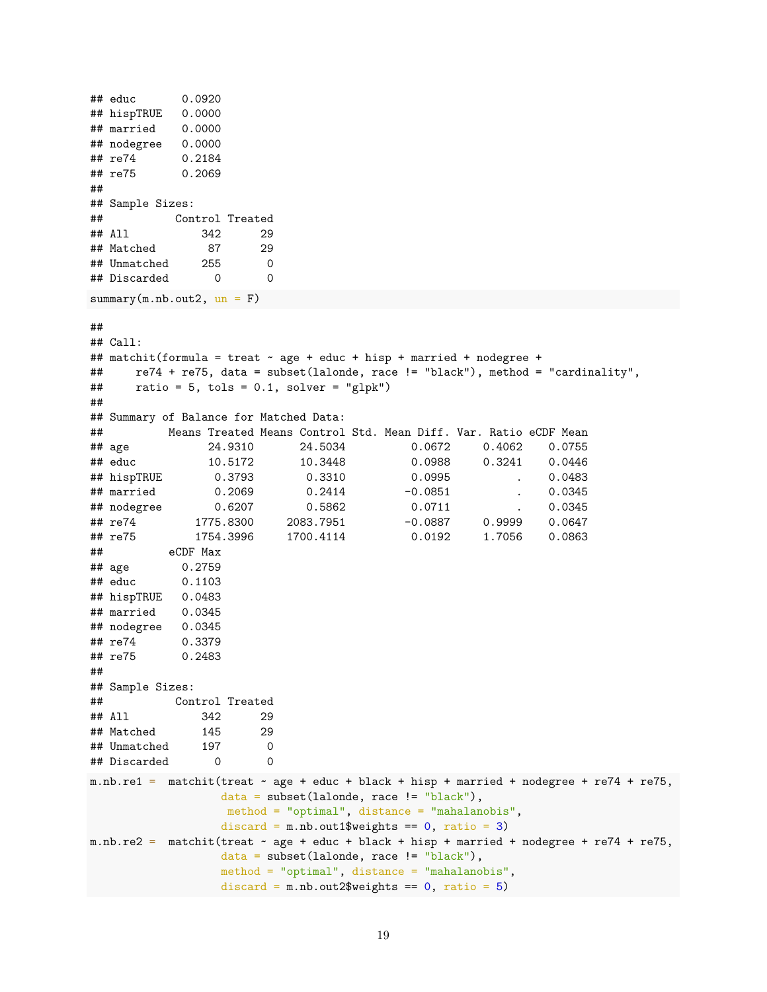```
## educ 0.0920
## hispTRUE 0.0000
## married 0.0000
## nodegree 0.0000
## re74 0.2184
## re75 0.2069
##
## Sample Sizes:
## Control Treated
## All 342 29
## Matched 87 29
## Unmatched 255 0
## Discarded 0 0
summary(m.nb.out2, un = F)##
## Call:
## matchit(formula = treat \sim age + educ + hisp + married + nodegree +
## re74 + re75, data = subset(lalonde, race != "black"), method = "cardinality",
\# ratio = 5, tols = 0.1, solver = "glpk")
##
## Summary of Balance for Matched Data:
## Means Treated Means Control Std. Mean Diff. Var. Ratio eCDF Mean
## age 24.9310 24.5034 0.0672 0.4062 0.0755
## educ 10.5172 10.3448 0.0988 0.3241 0.0446
## hispTRUE 0.3793 0.3310 0.0995 . 0.0483
## married 0.2069 0.2414 -0.0851 . 0.0345
## nodegree 0.6207 0.5862 0.0711 . 0.0345
## re74 1775.8300 2083.7951 -0.0887 0.9999 0.0647
## re75 1754.3996 1700.4114 0.0192 1.7056 0.0863
## eCDF Max
## age 0.2759
## educ 0.1103
## hispTRUE 0.0483
## married 0.0345
## nodegree 0.0345
## re74 0.3379
## re75 0.2483
##
## Sample Sizes:
## Control Treated
## All 342 29
## Matched 145 29
## Unmatched 197 0
## Discarded 0 0
m.nb.re1 = matchit(treat ~ age + educ + black + hisp + married + nodegree + re74 + re75,
               data = subset(lalone, race != "black"),method = "optimal", distance = "mahalanobis",
               discard = m.nb.out1$weights == 0, ratio = 3)
m.nb.re2 = matchit(treat ~ age + educ + black + hisp + married + nodegree + re74 + re75,
               data = subset(lalonde, race != "black"),
               method = "optimal", distance = "mahalanobis",
               discard = m.nb.out2\weights == 0, ratio = 5)
```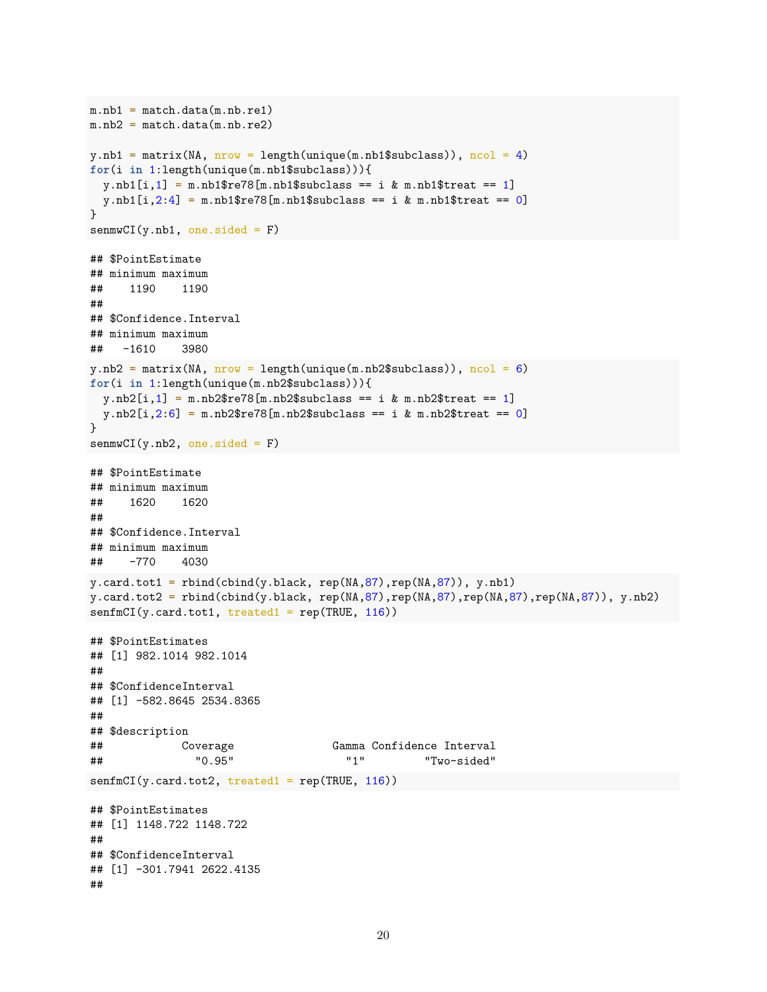```
m.nb1 = match.data(m.nb.rel)m.nb2 = match.data(m.nb.re2)y.nb1 = matrix(NA, nrow = length(unique(m.nb1$subclass)), ncol = 4)
for(i in 1:length(unique(m.nb1$subclass))){
 y.nb1[i,1] = m.nb1$re78[m.nb1$subclass == i & m.nb1$tree1]y.nb1[i,2:4] = m.nb1$re78[m.nb1$subclass == i & m.nb1$tree at == 0]}
sem(wCI(y.nb1, one. side d = F)## $PointEstimate
## minimum maximum
## 1190 1190
##
## $Confidence.Interval
## minimum maximum
## -1610 3980
y.nb2 = matrix(NA, nrow = length(unique(m.nb2$subclass)), ncol = 6)for(i in 1:length(unique(m.nb2$subclass))){
 y.nb2[i,1] = m.nb2$re78[m.nb2$subclass == i & m.nb2$tree1]y.nb2[i,2:6] = m.nb2$re78[m.nb2$subclass == i & m.nb2$tree]}
sem(wCI(y.nb2, one. sided = F)## $PointEstimate
## minimum maximum
## 1620 1620
##
## $Confidence.Interval
## minimum maximum
## -770 4030
y.card.tot1 = rbind(cbind(y.black, rep(MA,87),rep(MA,87)), y.nb1)y.card.tot2 = rbind(cbind(y.black, rep(NA,87),rep(NA,87),rep(NA,87),rep(NA,87)), y.nb2)
senfmCI(y.card.tot1, treated1 = rep(TRUE, 116))
## $PointEstimates
## [1] 982.1014 982.1014
##
## $ConfidenceInterval
## [1] -582.8645 2534.8365
##
## $description
## Coverage Gamma Confidence Interval
## "0.95" "1" "Two-sided"
senfmCI(y.card.tot2, treated1 = rep(TRUE, 116))
## $PointEstimates
## [1] 1148.722 1148.722
##
## $ConfidenceInterval
## [1] -301.7941 2622.4135
##
```